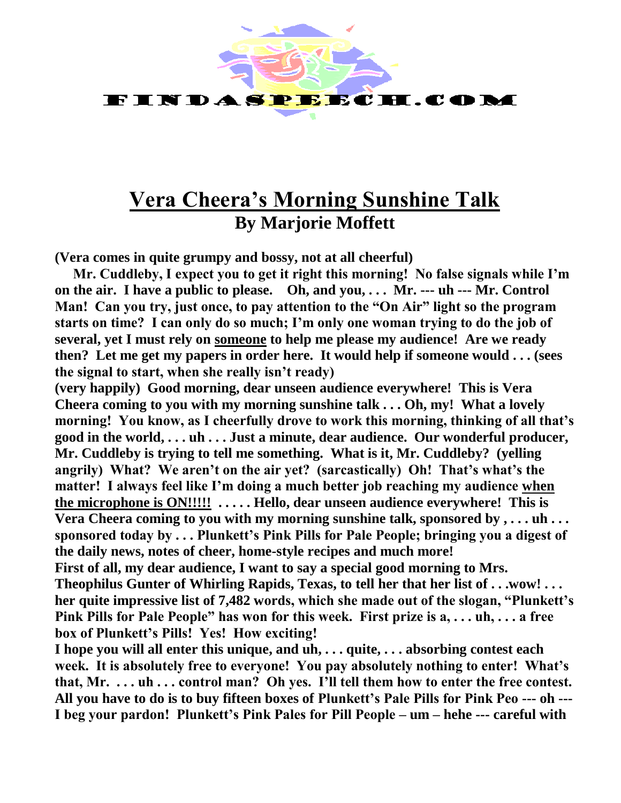

## **Vera Cheera's Morning Sunshine Talk By Marjorie Moffett**

**(Vera comes in quite grumpy and bossy, not at all cheerful)**

**Mr. Cuddleby, I expect you to get it right this morning! No false signals while I'm on the air. I have a public to please. Oh, and you, . . . Mr. --- uh --- Mr. Control Man! Can you try, just once, to pay attention to the "On Air" light so the program starts on time? I can only do so much; I'm only one woman trying to do the job of several, yet I must rely on someone to help me please my audience! Are we ready then? Let me get my papers in order here. It would help if someone would . . . (sees the signal to start, when she really isn't ready)**

**(very happily) Good morning, dear unseen audience everywhere! This is Vera Cheera coming to you with my morning sunshine talk . . . Oh, my! What a lovely morning! You know, as I cheerfully drove to work this morning, thinking of all that's good in the world, . . . uh . . . Just a minute, dear audience. Our wonderful producer, Mr. Cuddleby is trying to tell me something. What is it, Mr. Cuddleby? (yelling angrily) What? We aren't on the air yet? (sarcastically) Oh! That's what's the matter! I always feel like I'm doing a much better job reaching my audience when the microphone is ON!!!!! . . . . . Hello, dear unseen audience everywhere! This is Vera Cheera coming to you with my morning sunshine talk, sponsored by , . . . uh . . . sponsored today by . . . Plunkett's Pink Pills for Pale People; bringing you a digest of the daily news, notes of cheer, home-style recipes and much more!**

**First of all, my dear audience, I want to say a special good morning to Mrs. Theophilus Gunter of Whirling Rapids, Texas, to tell her that her list of . . .wow! . . . her quite impressive list of 7,482 words, which she made out of the slogan, "Plunkett's Pink Pills for Pale People" has won for this week. First prize is a, . . . uh, . . . a free box of Plunkett's Pills! Yes! How exciting!** 

**I hope you will all enter this unique, and uh, . . . quite, . . . absorbing contest each week. It is absolutely free to everyone! You pay absolutely nothing to enter! What's that, Mr. . . . uh . . . control man? Oh yes. I'll tell them how to enter the free contest. All you have to do is to buy fifteen boxes of Plunkett's Pale Pills for Pink Peo --- oh --- I beg your pardon! Plunkett's Pink Pales for Pill People – um – hehe --- careful with**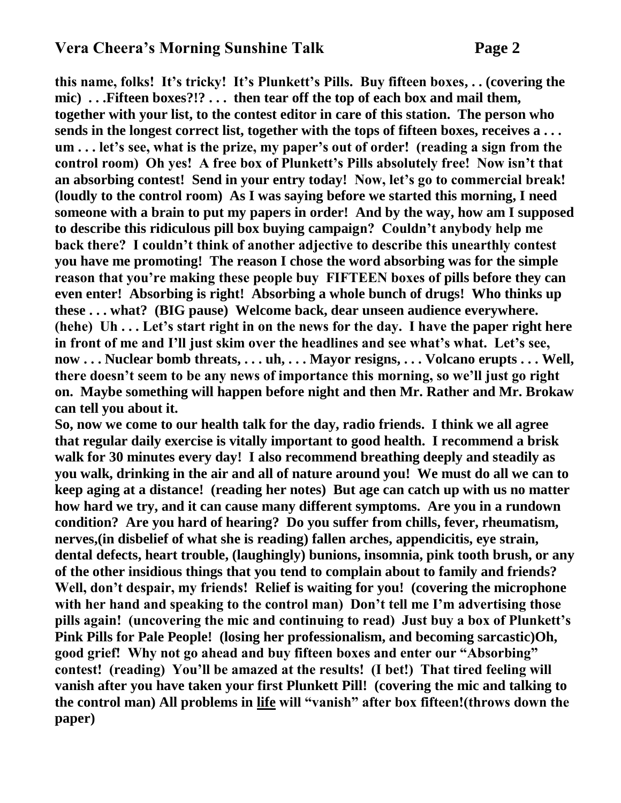## **Vera Cheera's Morning Sunshine Talk Page 2**

**this name, folks! It's tricky! It's Plunkett's Pills. Buy fifteen boxes, . . (covering the mic) . . .Fifteen boxes?!? . . . then tear off the top of each box and mail them, together with your list, to the contest editor in care of this station. The person who sends in the longest correct list, together with the tops of fifteen boxes, receives a . . . um . . . let's see, what is the prize, my paper's out of order! (reading a sign from the control room) Oh yes! A free box of Plunkett's Pills absolutely free! Now isn't that an absorbing contest! Send in your entry today! Now, let's go to commercial break! (loudly to the control room) As I was saying before we started this morning, I need someone with a brain to put my papers in order! And by the way, how am I supposed to describe this ridiculous pill box buying campaign? Couldn't anybody help me back there? I couldn't think of another adjective to describe this unearthly contest you have me promoting! The reason I chose the word absorbing was for the simple reason that you're making these people buy FIFTEEN boxes of pills before they can even enter! Absorbing is right! Absorbing a whole bunch of drugs! Who thinks up these . . . what? (BIG pause) Welcome back, dear unseen audience everywhere. (hehe) Uh . . . Let's start right in on the news for the day. I have the paper right here in front of me and I'll just skim over the headlines and see what's what. Let's see, now . . . Nuclear bomb threats, . . . uh, . . . Mayor resigns, . . . Volcano erupts . . . Well, there doesn't seem to be any news of importance this morning, so we'll just go right on. Maybe something will happen before night and then Mr. Rather and Mr. Brokaw can tell you about it.**

**So, now we come to our health talk for the day, radio friends. I think we all agree that regular daily exercise is vitally important to good health. I recommend a brisk walk for 30 minutes every day! I also recommend breathing deeply and steadily as you walk, drinking in the air and all of nature around you! We must do all we can to keep aging at a distance! (reading her notes) But age can catch up with us no matter how hard we try, and it can cause many different symptoms. Are you in a rundown condition? Are you hard of hearing? Do you suffer from chills, fever, rheumatism, nerves,(in disbelief of what she is reading) fallen arches, appendicitis, eye strain, dental defects, heart trouble, (laughingly) bunions, insomnia, pink tooth brush, or any of the other insidious things that you tend to complain about to family and friends? Well, don't despair, my friends! Relief is waiting for you! (covering the microphone with her hand and speaking to the control man) Don't tell me I'm advertising those pills again! (uncovering the mic and continuing to read) Just buy a box of Plunkett's Pink Pills for Pale People! (losing her professionalism, and becoming sarcastic)Oh, good grief! Why not go ahead and buy fifteen boxes and enter our "Absorbing" contest! (reading) You'll be amazed at the results! (I bet!) That tired feeling will vanish after you have taken your first Plunkett Pill! (covering the mic and talking to the control man) All problems in life will "vanish" after box fifteen!(throws down the paper)**